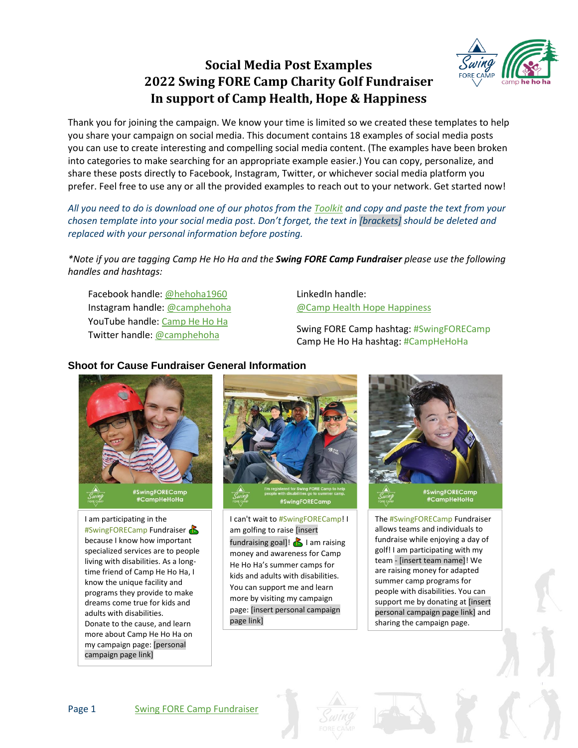# **Social Media Post Examples 2022 Swing FORE Camp Charity Golf Fundraiser In support of Camp Health, Hope & Happiness**



Thank you for joining the campaign. We know your time is limited so we created these templates to help you share your campaign on social media. This document contains 18 examples of social media posts you can use to create interesting and compelling social media content. (The examples have been broken into categories to make searching for an appropriate example easier.) You can copy, personalize, and share these posts directly to Facebook, Instagram, Twitter, or whichever social media platform you prefer. Feel free to use any or all the provided examples to reach out to your network. Get started now!

*All you need to do is download one of our photos from the [Toolkit](https://camphehoha.com/events_/swing-fore-camp/tool-kit/) and copy and paste the text from your chosen template into your social media post. Don't forget, the text in [brackets] should be deleted and replaced with your personal information before posting.*

*\*Note if you are tagging Camp He Ho Ha and the Swing FORE Camp Fundraiser please use the following handles and hashtags:*

Facebook handle[: @hehoha1960](https://www.facebook.com/hehoha1960) Instagram handle[: @camphehoha](https://r20.rs6.net/tn.jsp?f=001O0lDmFungkWs1f4rNsb53UhomwM3xCKu79StTPQTaQcWUfBomEj8FMgyuulmxX23rHqoqMMns0fCSueCxDAoYW0VU_5y9wyFqjY1aofhCx0JX8TSQ0WBkOiO1sNOAMKuldrlGMccSHWJAt0ZwYTEA6S2pVXSdonsxDDCAMqEdYU=&c=3WmVUBDgkc14CMVMRxO5aRGDPgElFWd28OWRu6aiHRI3VpskQDdXyw==&ch=VUEen8HE7LRU1GXTSlCavp6zZGiCKvWpY0tc4zDVZfP3FWGoJalRBw==) YouTube handle: [Camp He Ho Ha](https://www.youtube.com/channel/UCJLL7iqOnS3XMjvoqOzxS4Q) Twitter handle: [@camphehoha](https://twitter.com/camphehoha)

LinkedIn handle: [@Camp Health Hope Happiness](https://ca.linkedin.com/company/camp-heath-hope-happiness)

Swing FORE Camp hashtag: #SwingFORECamp Camp He Ho Ha hashtag: #CampHeHoHa

# **Shoot for Cause Fundraiser General Information**



I am participating in the #SwingFORECamp Fundraiser because I know how important specialized services are to people living with disabilities. As a longtime friend of Camp He Ho Ha, I know the unique facility and programs they provide to make dreams come true for kids and adults with disabilities. Donate to the cause, and learn more about Camp He Ho Ha on my campaign page: [personal campaign page link]



I can't wait to #SwingFORECamp! I am golfing to raise [insert fundraising goal]!  $\sum$  I am raising money and awareness for Camp He Ho Ha's summer camps for kids and adults with disabilities. You can support me and learn more by visiting my campaign page: [insert personal campaign page link]



The #SwingFORECamp Fundraiser allows teams and individuals to fundraise while enjoying a day of golf! I am participating with my team - [insert team name]! We are raising money for adapted summer camp programs for people with disabilities. You can support me by donating at [insert personal campaign page link] and sharing the campaign page.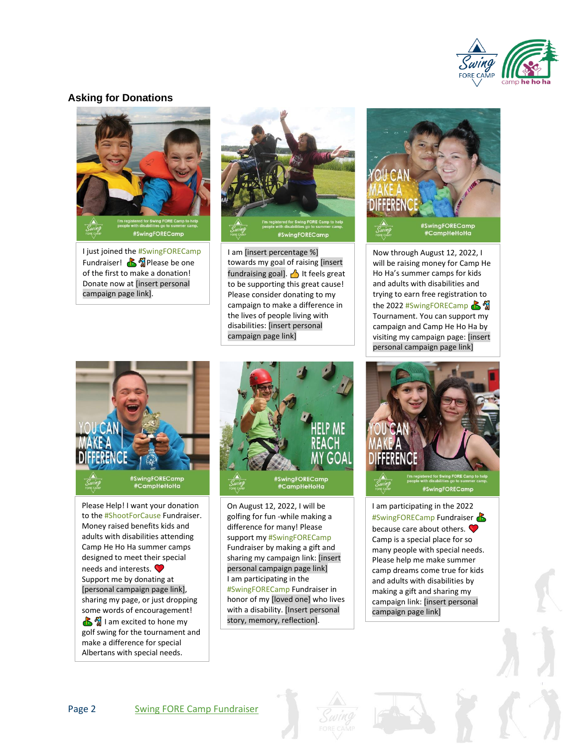

### **Asking for Donations**



I just joined the #SwingFORECamp Fundraiser!  $\mathbf{B}$   $\mathbf{\hat{\mathbb{Z}}}$  Please be one of the first to make a donation! Donate now at [insert personal campaign page link].



I am [insert percentage %] towards my goal of raising [insert fundraising goal].  $\bigwedge$  It feels great to be supporting this great cause! Please consider donating to my campaign to make a difference in the lives of people living with disabilities: [insert personal campaign page link]



Please Help! I want your donation to the #ShootForCause Fundraiser. Money raised benefits kids and adults with disabilities attending Camp He Ho Ha summer camps designed to meet their special needs and interests. Support me by donating at [personal campaign page link], sharing my page, or just dropping some words of encouragement!  $\mathbb{R}^{\frac{m}{2}}$  I am excited to hone my golf swing for the tournament and make a difference for special Albertans with special needs.

.



On August 12, 2022, I will be golfing for fun -while making a difference for many! Please support my #SwingFORECamp Fundraiser by making a gift and sharing my campaign link: [insert personal campaign page link] I am participating in the #SwingFORECamp Fundraiser in honor of my [loved one] who lives with a disability. [Insert personal story, memory, reflection].



Now through August 12, 2022, I will be raising money for Camp He Ho Ha's summer camps for kids and adults with disabilities and trying to earn free registration to the 2022 #SwingFORECamp Tournament. You can support my campaign and Camp He Ho Ha by visiting my campaign page: [insert personal campaign page link]



I am participating in the 2022 #SwingFORECamp Fundraiser because care about others. Camp is a special place for so many people with special needs. Please help me make summer camp dreams come true for kids and adults with disabilities by making a gift and sharing my campaign link: [insert personal campaign page link]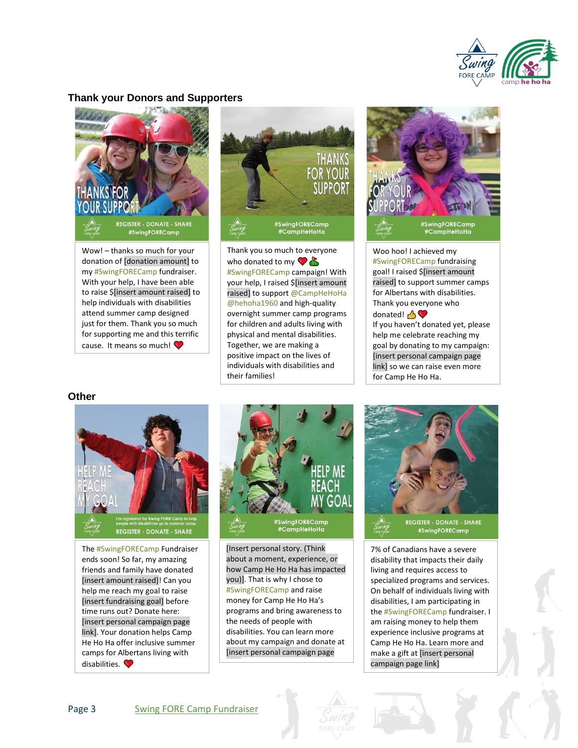

#### **Thank your Donors and Supporters**



Wow! – thanks so much for your donation of [donation amount] to my #SwingFORECamp fundraiser. With your help, I have been able to raise \$[insert amount raised] to help individuals with disabilities attend summer camp designed just for them. Thank you so much for supporting me and this terrific cause. It means so much!



Thank you so much to everyone who donated to my  $\bigcirc$   $\bigcirc$ #SwingFORECamp campaign! With your help, I raised \$[insert amount raised] to support @CampHeHoHa @hehoha1960 and high-quality overnight summer camp programs for children and adults living with physical and mental disabilities. Together, we are making a positive impact on the lives of individuals with disabilities and their families!



Woo hoo! I achieved my #SwingFORECamp fundraising goal! I raised \$[insert amount raised] to support summer camps for Albertans with disabilities. Thank you everyone who donated! <sup>1</sup> If you haven't donated yet, please help me celebrate reaching my goal by donating to my campaign: [insert personal campaign page link] so we can raise even more for Camp He Ho Ha.

#### **Other**



The #SwingFORECamp Fundraiser ends soon! So far, my amazing friends and family have donated [insert amount raised]! Can you help me reach my goal to raise [insert fundraising goal] before time runs out? Donate here: [insert personal campaign page link]. Your donation helps Camp He Ho Ha offer inclusive summer camps for Albertans living with disabilities.



[Insert personal story. (Think about a moment, experience, or how Camp He Ho Ha has impacted you)]. That is why I chose to #SwingFORECamp and raise money for Camp He Ho Ha's programs and bring awareness to the needs of people with disabilities. You can learn more about my campaign and donate at [insert personal campaign page

link]



7% of Canadians have a severe disability that impacts their daily living and requires access to specialized programs and services. On behalf of individuals living with disabilities, I am participating in the #SwingFORECamp fundraiser. I am raising money to help them experience inclusive programs at Camp He Ho Ha. Learn more and make a gift at [insert personal campaign page link]